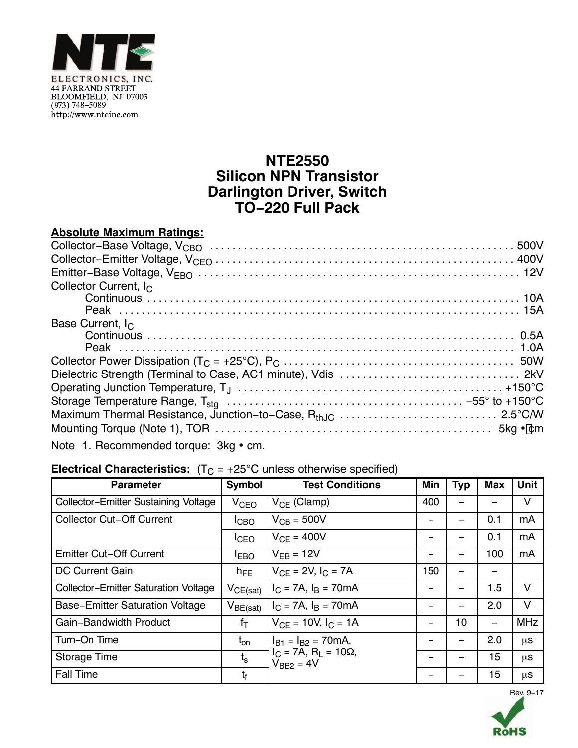

## **NTE2550 Silicon NPN Transistor Darlington Driver, Switch TO−220 Full Pack**

| <b>Absolute Maximum Ratings:</b>      |
|---------------------------------------|
|                                       |
|                                       |
|                                       |
| Collector Current, I <sub>C</sub>     |
|                                       |
|                                       |
| Base Current, $I_{C}$                 |
|                                       |
|                                       |
|                                       |
|                                       |
|                                       |
|                                       |
|                                       |
|                                       |
| Note 1. Recommended torque: 3kg • cm. |

| <b>Electrical Characteristics:</b> $(T_C = +25^{\circ}C$ unless otherwise specified) |  |  |
|--------------------------------------------------------------------------------------|--|--|
|--------------------------------------------------------------------------------------|--|--|

| <b>Parameter</b>                            | Symbol           | <b>Test Conditions</b>                            | Min | <b>Typ</b> | <b>Max</b> | <b>Unit</b> |
|---------------------------------------------|------------------|---------------------------------------------------|-----|------------|------------|-------------|
| Collector-Emitter Sustaining Voltage        | V <sub>CEO</sub> | $V_{CE}$ (Clamp)                                  | 400 |            |            | V           |
| <b>Collector Cut-Off Current</b>            | I <sub>CBO</sub> | $V_{CB} = 500V$                                   | —   |            | 0.1        | mA          |
|                                             | <b>I</b> CEO     | $V_{CF} = 400V$                                   |     |            | 0.1        | mA          |
| <b>Emitter Cut-Off Current</b>              | <b>IEBO</b>      | $V_{FB} = 12V$                                    |     |            | 100        | mA          |
| <b>DC Current Gain</b>                      | $h_{FE}$         | $V_{CF} = 2V, I_C = 7A$                           | 150 |            |            |             |
| <b>Collector-Emitter Saturation Voltage</b> | $V_{CE(sat)}$    | $I_C = 7A$ , $I_B = 70mA$                         |     |            | 1.5        | V           |
| <b>Base-Emitter Saturation Voltage</b>      | $V_{BE(sat)}$    | $I_C = 7A$ , $I_B = 70mA$                         |     |            | 2.0        | V           |
| Gain-Bandwidth Product                      | $f_T$            | $V_{CF}$ = 10V, $I_C$ = 1A                        |     | 10         | —          | <b>MHz</b>  |
| Turn-On Time                                | $t_{on}$         | $I_{B1} = I_{B2} = 70 \text{mA}$ ,                |     |            | 2.0        | μS          |
| <b>Storage Time</b>                         | $t_{s}$          | $I_C = 7A$ , $R_1 = 10\Omega$ ,<br>$V_{BB2} = 4V$ |     |            | 15         | μS          |
| <b>Fall Time</b>                            | t <sub>f</sub>   |                                                   |     |            | 15         | $\mu$ s     |